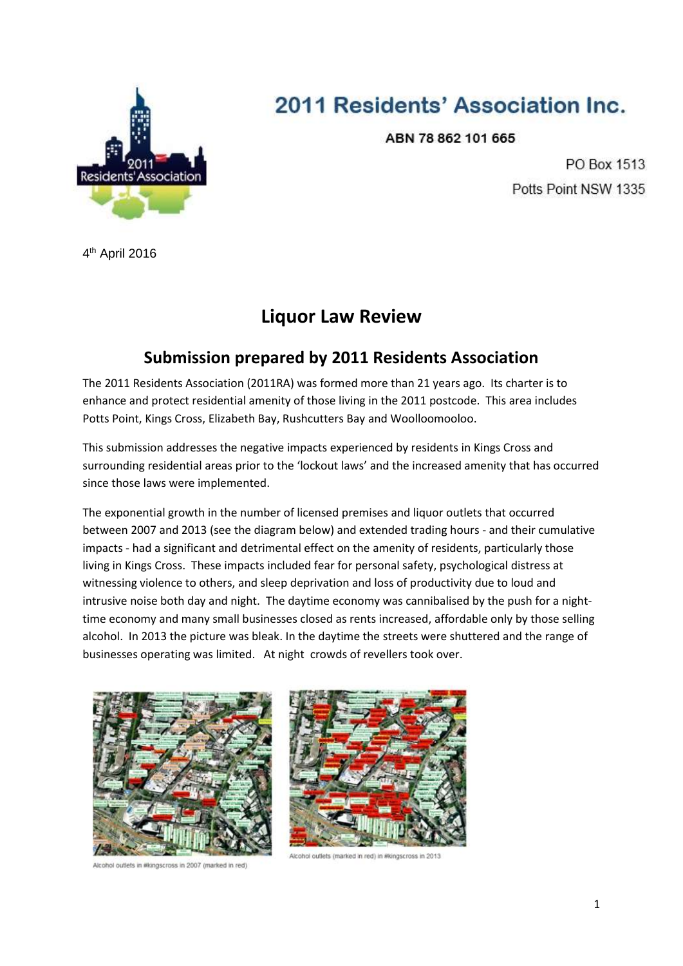

# 2011 Residents' Association Inc.

ABN 78 862 101 665

PO Box 1513 Potts Point NSW 1335

4<sup>th</sup> April 2016

## **Liquor Law Review**

## **Submission prepared by 2011 Residents Association**

The 2011 Residents Association (2011RA) was formed more than 21 years ago. Its charter is to enhance and protect residential amenity of those living in the 2011 postcode. This area includes Potts Point, Kings Cross, Elizabeth Bay, Rushcutters Bay and Woolloomooloo.

This submission addresses the negative impacts experienced by residents in Kings Cross and surrounding residential areas prior to the 'lockout laws' and the increased amenity that has occurred since those laws were implemented.

The exponential growth in the number of licensed premises and liquor outlets that occurred between 2007 and 2013 (see the diagram below) and extended trading hours - and their cumulative impacts - had a significant and detrimental effect on the amenity of residents, particularly those living in Kings Cross. These impacts included fear for personal safety, psychological distress at witnessing violence to others, and sleep deprivation and loss of productivity due to loud and intrusive noise both day and night. The daytime economy was cannibalised by the push for a nighttime economy and many small businesses closed as rents increased, affordable only by those selling alcohol. In 2013 the picture was bleak. In the daytime the streets were shuttered and the range of businesses operating was limited. At night crowds of revellers took over.



Alcohol outlets in #kingscross in 2007 (marked in red)



Alcohol outlets (marked in red) in #kingscross in 2013.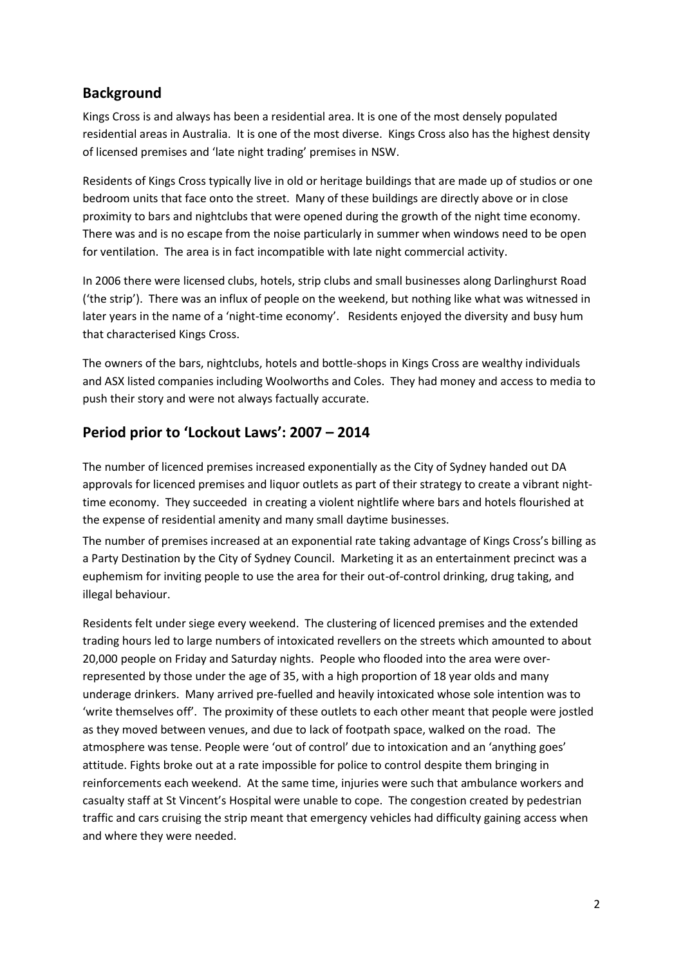#### **Background**

Kings Cross is and always has been a residential area. It is one of the most densely populated residential areas in Australia. It is one of the most diverse. Kings Cross also has the highest density of licensed premises and 'late night trading' premises in NSW.

Residents of Kings Cross typically live in old or heritage buildings that are made up of studios or one bedroom units that face onto the street. Many of these buildings are directly above or in close proximity to bars and nightclubs that were opened during the growth of the night time economy. There was and is no escape from the noise particularly in summer when windows need to be open for ventilation. The area is in fact incompatible with late night commercial activity.

In 2006 there were licensed clubs, hotels, strip clubs and small businesses along Darlinghurst Road ('the strip'). There was an influx of people on the weekend, but nothing like what was witnessed in later years in the name of a 'night-time economy'. Residents enjoyed the diversity and busy hum that characterised Kings Cross.

The owners of the bars, nightclubs, hotels and bottle-shops in Kings Cross are wealthy individuals and ASX listed companies including Woolworths and Coles. They had money and access to media to push their story and were not always factually accurate.

### **Period prior to 'Lockout Laws': 2007 – 2014**

The number of licenced premises increased exponentially as the City of Sydney handed out DA approvals for licenced premises and liquor outlets as part of their strategy to create a vibrant nighttime economy. They succeeded in creating a violent nightlife where bars and hotels flourished at the expense of residential amenity and many small daytime businesses.

The number of premises increased at an exponential rate taking advantage of Kings Cross's billing as a Party Destination by the City of Sydney Council. Marketing it as an entertainment precinct was a euphemism for inviting people to use the area for their out-of-control drinking, drug taking, and illegal behaviour.

Residents felt under siege every weekend. The clustering of licenced premises and the extended trading hours led to large numbers of intoxicated revellers on the streets which amounted to about 20,000 people on Friday and Saturday nights. People who flooded into the area were overrepresented by those under the age of 35, with a high proportion of 18 year olds and many underage drinkers. Many arrived pre-fuelled and heavily intoxicated whose sole intention was to 'write themselves off'. The proximity of these outlets to each other meant that people were jostled as they moved between venues, and due to lack of footpath space, walked on the road. The atmosphere was tense. People were 'out of control' due to intoxication and an 'anything goes' attitude. Fights broke out at a rate impossible for police to control despite them bringing in reinforcements each weekend. At the same time, injuries were such that ambulance workers and casualty staff at St Vincent's Hospital were unable to cope. The congestion created by pedestrian traffic and cars cruising the strip meant that emergency vehicles had difficulty gaining access when and where they were needed.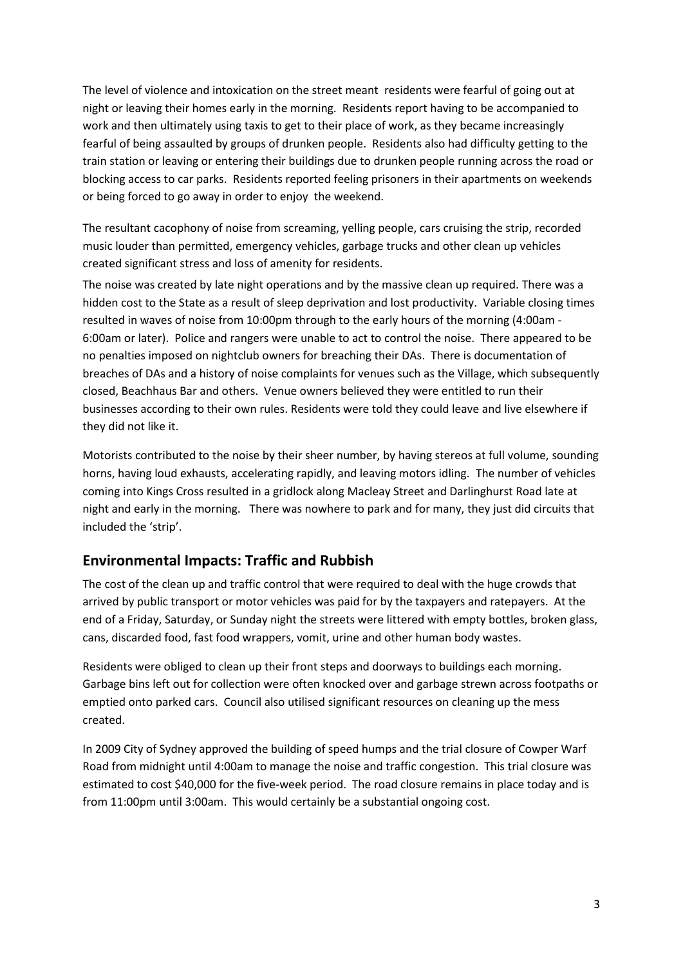The level of violence and intoxication on the street meant residents were fearful of going out at night or leaving their homes early in the morning. Residents report having to be accompanied to work and then ultimately using taxis to get to their place of work, as they became increasingly fearful of being assaulted by groups of drunken people. Residents also had difficulty getting to the train station or leaving or entering their buildings due to drunken people running across the road or blocking access to car parks. Residents reported feeling prisoners in their apartments on weekends or being forced to go away in order to enjoy the weekend.

The resultant cacophony of noise from screaming, yelling people, cars cruising the strip, recorded music louder than permitted, emergency vehicles, garbage trucks and other clean up vehicles created significant stress and loss of amenity for residents.

The noise was created by late night operations and by the massive clean up required. There was a hidden cost to the State as a result of sleep deprivation and lost productivity. Variable closing times resulted in waves of noise from 10:00pm through to the early hours of the morning (4:00am - 6:00am or later). Police and rangers were unable to act to control the noise. There appeared to be no penalties imposed on nightclub owners for breaching their DAs. There is documentation of breaches of DAs and a history of noise complaints for venues such as the Village, which subsequently closed, Beachhaus Bar and others. Venue owners believed they were entitled to run their businesses according to their own rules. Residents were told they could leave and live elsewhere if they did not like it.

Motorists contributed to the noise by their sheer number, by having stereos at full volume, sounding horns, having loud exhausts, accelerating rapidly, and leaving motors idling. The number of vehicles coming into Kings Cross resulted in a gridlock along Macleay Street and Darlinghurst Road late at night and early in the morning. There was nowhere to park and for many, they just did circuits that included the 'strip'.

#### **Environmental Impacts: Traffic and Rubbish**

The cost of the clean up and traffic control that were required to deal with the huge crowds that arrived by public transport or motor vehicles was paid for by the taxpayers and ratepayers. At the end of a Friday, Saturday, or Sunday night the streets were littered with empty bottles, broken glass, cans, discarded food, fast food wrappers, vomit, urine and other human body wastes.

Residents were obliged to clean up their front steps and doorways to buildings each morning. Garbage bins left out for collection were often knocked over and garbage strewn across footpaths or emptied onto parked cars. Council also utilised significant resources on cleaning up the mess created.

In 2009 City of Sydney approved the building of speed humps and the trial closure of Cowper Warf Road from midnight until 4:00am to manage the noise and traffic congestion. This trial closure was estimated to cost \$40,000 for the five-week period. The road closure remains in place today and is from 11:00pm until 3:00am. This would certainly be a substantial ongoing cost.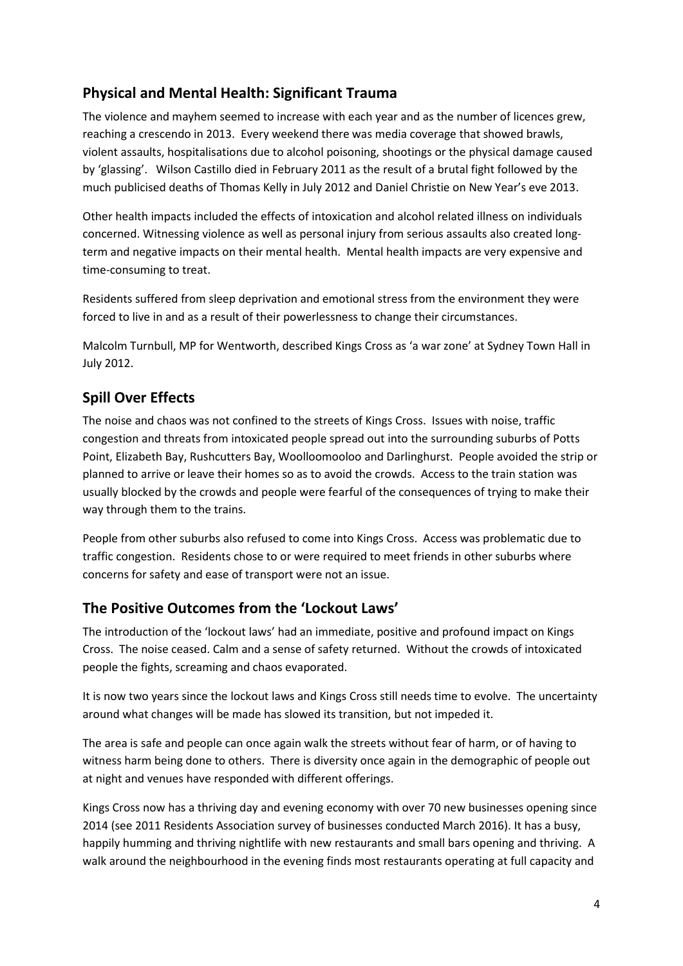## **Physical and Mental Health: Significant Trauma**

The violence and mayhem seemed to increase with each year and as the number of licences grew, reaching a crescendo in 2013. Every weekend there was media coverage that showed brawls, violent assaults, hospitalisations due to alcohol poisoning, shootings or the physical damage caused by 'glassing'. Wilson Castillo died in February 2011 as the result of a brutal fight followed by the much publicised deaths of Thomas Kelly in July 2012 and Daniel Christie on New Year's eve 2013.

Other health impacts included the effects of intoxication and alcohol related illness on individuals concerned. Witnessing violence as well as personal injury from serious assaults also created longterm and negative impacts on their mental health. Mental health impacts are very expensive and time-consuming to treat.

Residents suffered from sleep deprivation and emotional stress from the environment they were forced to live in and as a result of their powerlessness to change their circumstances.

Malcolm Turnbull, MP for Wentworth, described Kings Cross as 'a war zone' at Sydney Town Hall in July 2012.

## **Spill Over Effects**

The noise and chaos was not confined to the streets of Kings Cross. Issues with noise, traffic congestion and threats from intoxicated people spread out into the surrounding suburbs of Potts Point, Elizabeth Bay, Rushcutters Bay, Woolloomooloo and Darlinghurst. People avoided the strip or planned to arrive or leave their homes so as to avoid the crowds. Access to the train station was usually blocked by the crowds and people were fearful of the consequences of trying to make their way through them to the trains.

People from other suburbs also refused to come into Kings Cross. Access was problematic due to traffic congestion. Residents chose to or were required to meet friends in other suburbs where concerns for safety and ease of transport were not an issue.

### **The Positive Outcomes from the 'Lockout Laws'**

The introduction of the 'lockout laws' had an immediate, positive and profound impact on Kings Cross. The noise ceased. Calm and a sense of safety returned. Without the crowds of intoxicated people the fights, screaming and chaos evaporated.

It is now two years since the lockout laws and Kings Cross still needs time to evolve. The uncertainty around what changes will be made has slowed its transition, but not impeded it.

The area is safe and people can once again walk the streets without fear of harm, or of having to witness harm being done to others. There is diversity once again in the demographic of people out at night and venues have responded with different offerings.

Kings Cross now has a thriving day and evening economy with over 70 new businesses opening since 2014 (see 2011 Residents Association survey of businesses conducted March 2016). It has a busy, happily humming and thriving nightlife with new restaurants and small bars opening and thriving. A walk around the neighbourhood in the evening finds most restaurants operating at full capacity and